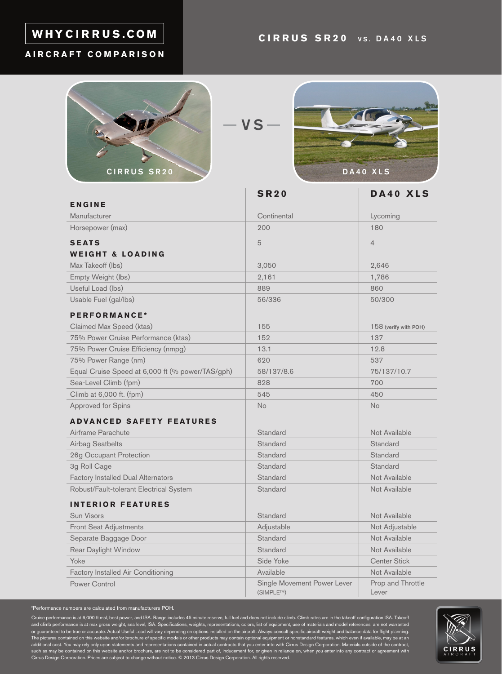## WHYCIRRUS.COM

#### **AIRCRAFT COMPARISON**



 $-VS -$ 



|                                                  | <b>SR20</b>                              | DA40 XLS                   |
|--------------------------------------------------|------------------------------------------|----------------------------|
| ENGINE                                           |                                          |                            |
| Manufacturer                                     | Continental                              | Lycoming                   |
| Horsepower (max)                                 | 200                                      | 180                        |
| <b>SEATS</b>                                     | 5                                        | $\overline{4}$             |
| <b>WEIGHT &amp; LOADING</b>                      |                                          |                            |
| Max Takeoff (lbs)                                | 3,050                                    | 2,646                      |
| Empty Weight (lbs)                               | 2,161                                    | 1,786                      |
| Useful Load (lbs)                                | 889                                      | 860                        |
| Usable Fuel (gal/lbs)                            | 56/336                                   | 50/300                     |
| PERFORMANCE*                                     |                                          |                            |
| Claimed Max Speed (ktas)                         | 155                                      | 158 (verify with POH)      |
| 75% Power Cruise Performance (ktas)              | 152                                      | 137                        |
| 75% Power Cruise Efficiency (nmpg)               | 13.1                                     | 12.8                       |
| 75% Power Range (nm)                             | 620                                      | 537                        |
| Equal Cruise Speed at 6,000 ft (% power/TAS/gph) | 58/137/8.6                               | 75/137/10.7                |
| Sea-Level Climb (fpm)                            | 828                                      | 700                        |
| Climb at 6,000 ft. (fpm)                         | 545                                      | 450                        |
| <b>Approved for Spins</b>                        | <b>No</b>                                | <b>No</b>                  |
| <b>ADVANCED SAFETY FEATURES</b>                  |                                          |                            |
| Airframe Parachute                               | Standard                                 | Not Available              |
| <b>Airbag Seatbelts</b>                          | Standard                                 | Standard                   |
| 26g Occupant Protection                          | Standard                                 | Standard                   |
| 3g Roll Cage                                     | Standard                                 | Standard                   |
| <b>Factory Installed Dual Alternators</b>        | Standard                                 | Not Available              |
| Robust/Fault-tolerant Electrical System          | Standard                                 | Not Available              |
| <b>INTERIOR FEATURES</b>                         |                                          |                            |
| Sun Visors                                       | Standard                                 | Not Available              |
| Front Seat Adjustments                           | Adjustable                               | Not Adjustable             |
| Separate Baggage Door                            | Standard                                 | Not Available              |
| Rear Daylight Window                             | Standard                                 | Not Available              |
| Yoke                                             | Side Yoke                                | <b>Center Stick</b>        |
| Factory Installed Air Conditioning               | Available                                | Not Available              |
| Power Control                                    | Single Movement Power Lever<br>(SIMPLE™) | Prop and Throttle<br>Lever |

\*Performance numbers are calculated from manufacturers POH.

Cruise performance is at 6,000 ft msl, best power, and ISA. Range includes 45 minute reserve, full fuel and does not include climb. Climb rates are in the takeoff configuration ISA. Takeoff<br>and climb performance is at max or guaranteed to be true or accurate. Actual Useful Load will vary depending on options installed on the aircraft. Always consult specific aircraft weight and balance data for flight planning.<br>The pictures contained on thi